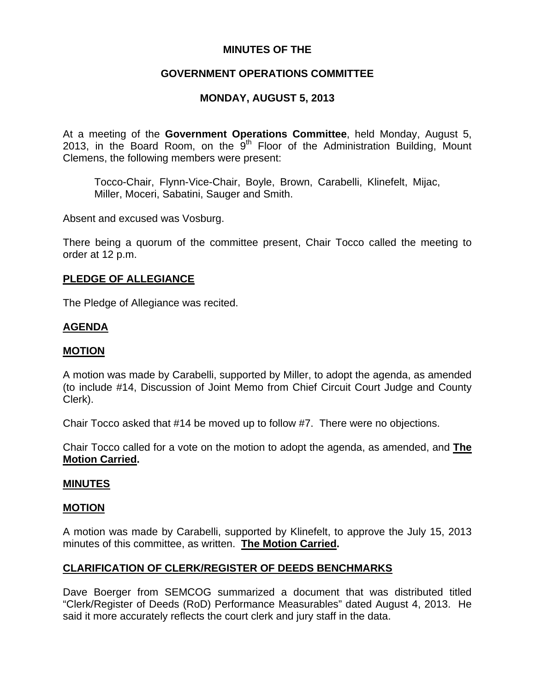## **MINUTES OF THE**

# **GOVERNMENT OPERATIONS COMMITTEE**

# **MONDAY, AUGUST 5, 2013**

At a meeting of the **Government Operations Committee**, held Monday, August 5, 2013, in the Board Room, on the  $9<sup>th</sup>$  Floor of the Administration Building, Mount Clemens, the following members were present:

Tocco-Chair, Flynn-Vice-Chair, Boyle, Brown, Carabelli, Klinefelt, Mijac, Miller, Moceri, Sabatini, Sauger and Smith.

Absent and excused was Vosburg.

There being a quorum of the committee present, Chair Tocco called the meeting to order at 12 p.m.

## **PLEDGE OF ALLEGIANCE**

The Pledge of Allegiance was recited.

## **AGENDA**

#### **MOTION**

A motion was made by Carabelli, supported by Miller, to adopt the agenda, as amended (to include #14, Discussion of Joint Memo from Chief Circuit Court Judge and County Clerk).

Chair Tocco asked that #14 be moved up to follow #7. There were no objections.

Chair Tocco called for a vote on the motion to adopt the agenda, as amended, and **The Motion Carried.** 

#### **MINUTES**

#### **MOTION**

A motion was made by Carabelli, supported by Klinefelt, to approve the July 15, 2013 minutes of this committee, as written. **The Motion Carried.** 

## **CLARIFICATION OF CLERK/REGISTER OF DEEDS BENCHMARKS**

Dave Boerger from SEMCOG summarized a document that was distributed titled "Clerk/Register of Deeds (RoD) Performance Measurables" dated August 4, 2013. He said it more accurately reflects the court clerk and jury staff in the data.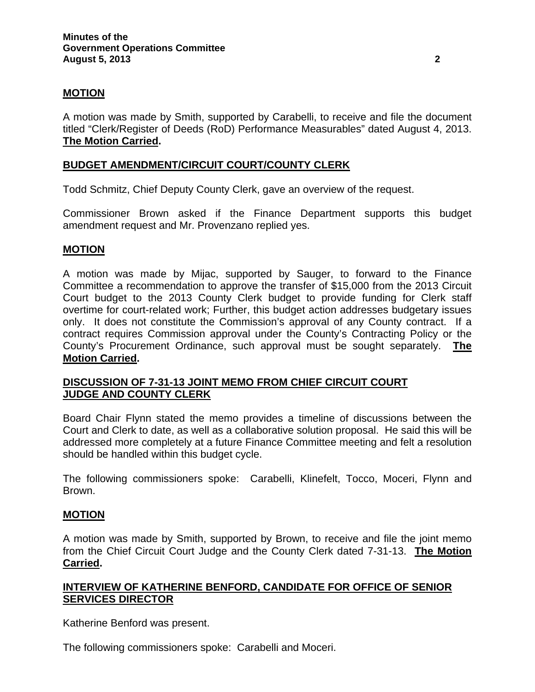## **MOTION**

A motion was made by Smith, supported by Carabelli, to receive and file the document titled "Clerk/Register of Deeds (RoD) Performance Measurables" dated August 4, 2013. **The Motion Carried.** 

## **BUDGET AMENDMENT/CIRCUIT COURT/COUNTY CLERK**

Todd Schmitz, Chief Deputy County Clerk, gave an overview of the request.

Commissioner Brown asked if the Finance Department supports this budget amendment request and Mr. Provenzano replied yes.

## **MOTION**

A motion was made by Mijac, supported by Sauger, to forward to the Finance Committee a recommendation to approve the transfer of \$15,000 from the 2013 Circuit Court budget to the 2013 County Clerk budget to provide funding for Clerk staff overtime for court-related work; Further, this budget action addresses budgetary issues only. It does not constitute the Commission's approval of any County contract. If a contract requires Commission approval under the County's Contracting Policy or the County's Procurement Ordinance, such approval must be sought separately. **The Motion Carried.** 

## **DISCUSSION OF 7-31-13 JOINT MEMO FROM CHIEF CIRCUIT COURT JUDGE AND COUNTY CLERK**

Board Chair Flynn stated the memo provides a timeline of discussions between the Court and Clerk to date, as well as a collaborative solution proposal. He said this will be addressed more completely at a future Finance Committee meeting and felt a resolution should be handled within this budget cycle.

The following commissioners spoke: Carabelli, Klinefelt, Tocco, Moceri, Flynn and Brown.

#### **MOTION**

A motion was made by Smith, supported by Brown, to receive and file the joint memo from the Chief Circuit Court Judge and the County Clerk dated 7-31-13. **The Motion Carried.** 

## **INTERVIEW OF KATHERINE BENFORD, CANDIDATE FOR OFFICE OF SENIOR SERVICES DIRECTOR**

Katherine Benford was present.

The following commissioners spoke: Carabelli and Moceri.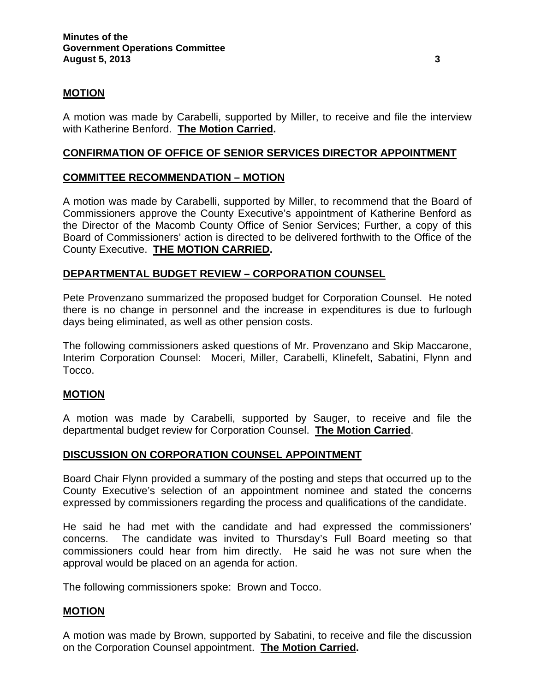## **MOTION**

A motion was made by Carabelli, supported by Miller, to receive and file the interview with Katherine Benford. **The Motion Carried.** 

#### **CONFIRMATION OF OFFICE OF SENIOR SERVICES DIRECTOR APPOINTMENT**

## **COMMITTEE RECOMMENDATION – MOTION**

A motion was made by Carabelli, supported by Miller, to recommend that the Board of Commissioners approve the County Executive's appointment of Katherine Benford as the Director of the Macomb County Office of Senior Services; Further, a copy of this Board of Commissioners' action is directed to be delivered forthwith to the Office of the County Executive. **THE MOTION CARRIED.**

## **DEPARTMENTAL BUDGET REVIEW – CORPORATION COUNSEL**

Pete Provenzano summarized the proposed budget for Corporation Counsel. He noted there is no change in personnel and the increase in expenditures is due to furlough days being eliminated, as well as other pension costs.

The following commissioners asked questions of Mr. Provenzano and Skip Maccarone, Interim Corporation Counsel: Moceri, Miller, Carabelli, Klinefelt, Sabatini, Flynn and Tocco.

#### **MOTION**

A motion was made by Carabelli, supported by Sauger, to receive and file the departmental budget review for Corporation Counsel. **The Motion Carried**.

#### **DISCUSSION ON CORPORATION COUNSEL APPOINTMENT**

Board Chair Flynn provided a summary of the posting and steps that occurred up to the County Executive's selection of an appointment nominee and stated the concerns expressed by commissioners regarding the process and qualifications of the candidate.

He said he had met with the candidate and had expressed the commissioners' concerns. The candidate was invited to Thursday's Full Board meeting so that commissioners could hear from him directly. He said he was not sure when the approval would be placed on an agenda for action.

The following commissioners spoke: Brown and Tocco.

#### **MOTION**

A motion was made by Brown, supported by Sabatini, to receive and file the discussion on the Corporation Counsel appointment. **The Motion Carried.**